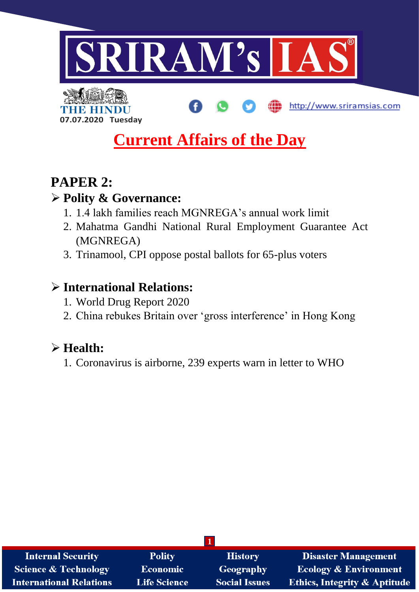

R EH **07.07.2020 Tuesday**

# **Current Affairs of the Day**

http://www.sriramsias.com

## **PAPER 2:**

### **Polity & Governance:**

- 1. 1.4 lakh families reach MGNREGA's annual work limit
- 2. Mahatma Gandhi National Rural Employment Guarantee Act (MGNREGA)
- 3. Trinamool, CPI oppose postal ballots for 65-plus voters

### **International Relations:**

- 1. World Drug Report 2020
- 2. China rebukes Britain over 'gross interference' in Hong Kong

## **Health:**

1. Coronavirus is airborne, 239 experts warn in letter to WHO

| <b>Internal Security</b>        | <b>Polity</b>       | <b>History</b>       | <b>Disaster Management</b>              |  |
|---------------------------------|---------------------|----------------------|-----------------------------------------|--|
| <b>Science &amp; Technology</b> | <b>Economic</b>     | <b>Geography</b>     | <b>Ecology &amp; Environment</b>        |  |
| <b>International Relations</b>  | <b>Life Science</b> | <b>Social Issues</b> | <b>Ethics, Integrity &amp; Aptitude</b> |  |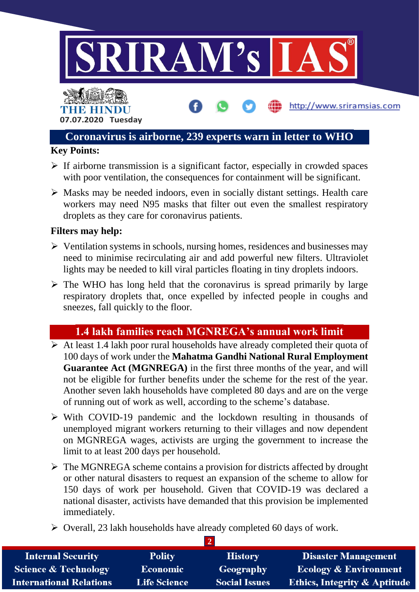

#### **Coronavirus is airborne, 239 experts warn in letter to WHO**

#### **Key Points:**

- $\triangleright$  If airborne transmission is a significant factor, especially in crowded spaces with poor ventilation, the consequences for containment will be significant.
- $\triangleright$  Masks may be needed indoors, even in socially distant settings. Health care workers may need N95 masks that filter out even the smallest respiratory droplets as they care for coronavirus patients.

#### **Filters may help:**

- $\triangleright$  Ventilation systems in schools, nursing homes, residences and businesses may need to minimise recirculating air and add powerful new filters. Ultraviolet lights may be needed to kill viral particles floating in tiny droplets indoors.
- $\triangleright$  The WHO has long held that the coronavirus is spread primarily by large respiratory droplets that, once expelled by infected people in coughs and sneezes, fall quickly to the floor.

#### **1.4 lakh families reach MGNREGA's annual work limit**

- $\triangleright$  At least 1.4 lakh poor rural households have already completed their quota of 100 days of work under the **Mahatma Gandhi National Rural Employment Guarantee Act (MGNREGA)** in the first three months of the year, and will not be eligible for further benefits under the scheme for the rest of the year. Another seven lakh households have completed 80 days and are on the verge of running out of work as well, according to the scheme's database.
- $\triangleright$  With COVID-19 pandemic and the lockdown resulting in thousands of unemployed migrant workers returning to their villages and now dependent on MGNREGA wages, activists are urging the government to increase the limit to at least 200 days per household.
- $\triangleright$  The MGNREGA scheme contains a provision for districts affected by drought or other natural disasters to request an expansion of the scheme to allow for 150 days of work per household. Given that COVID-19 was declared a national disaster, activists have demanded that this provision be implemented immediately.
- $\triangleright$  Overall, 23 lakh households have already completed 60 days of work.

| <b>Internal Security</b>        | <b>Polity</b>       | <b>History</b>       | <b>Disaster Management</b>              |  |
|---------------------------------|---------------------|----------------------|-----------------------------------------|--|
| <b>Science &amp; Technology</b> | <b>Economic</b>     | Geography            | Ecology & Environment                   |  |
| <b>International Relations</b>  | <b>Life Science</b> | <b>Social Issues</b> | <b>Ethics, Integrity &amp; Aptitude</b> |  |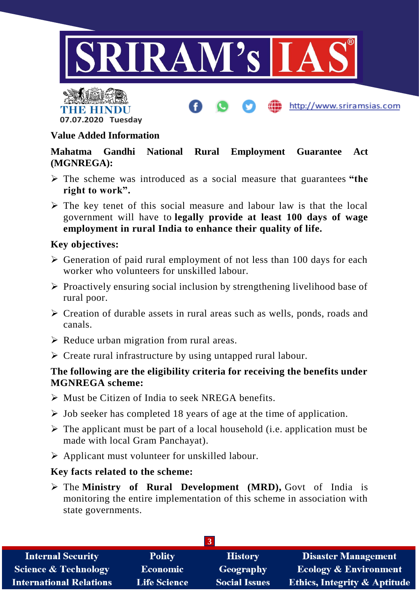





#### **Value Added Information**

**Mahatma Gandhi National Rural Employment Guarantee Act (MGNREGA):**

- The scheme was introduced as a social measure that guarantees **"the right to work".**
- $\triangleright$  The key tenet of this social measure and labour law is that the local government will have to **legally provide at least 100 days of wage employment in rural India to enhance their quality of life.**

#### **Key objectives:**

- $\triangleright$  Generation of paid rural employment of not less than 100 days for each worker who volunteers for unskilled labour.
- $\triangleright$  Proactively ensuring social inclusion by strengthening livelihood base of rural poor.
- $\triangleright$  Creation of durable assets in rural areas such as wells, ponds, roads and canals.
- $\triangleright$  Reduce urban migration from rural areas.
- $\triangleright$  Create rural infrastructure by using untapped rural labour.

#### **The following are the eligibility criteria for receiving the benefits under MGNREGA scheme:**

- $\triangleright$  Must be Citizen of India to seek NREGA benefits.
- $\triangleright$  Job seeker has completed 18 years of age at the time of application.
- $\triangleright$  The applicant must be part of a local household (i.e. application must be made with local Gram Panchayat).
- $\triangleright$  Applicant must volunteer for unskilled labour.

#### **Key facts related to the scheme:**

 The **Ministry of Rural Development (MRD),** Govt of India is monitoring the entire implementation of this scheme in association with state governments.

| <b>Internal Security</b>        | <b>Polity</b>       | <b>History</b>       | <b>Disaster Management</b>              |  |
|---------------------------------|---------------------|----------------------|-----------------------------------------|--|
| <b>Science &amp; Technology</b> | <b>Economic</b>     | Geography            | <b>Ecology &amp; Environment</b>        |  |
| <b>International Relations</b>  | <b>Life Science</b> | <b>Social Issues</b> | <b>Ethics, Integrity &amp; Aptitude</b> |  |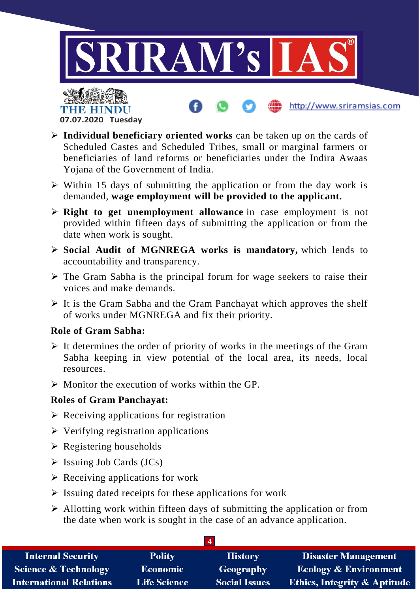

http://www.sriramsias.com



- **Individual beneficiary oriented works** can be taken up on the cards of Scheduled Castes and Scheduled Tribes, small or marginal farmers or beneficiaries of land reforms or beneficiaries under the Indira Awaas Yojana of the Government of India.
- $\triangleright$  Within 15 days of submitting the application or from the day work is demanded, **wage employment will be provided to the applicant.**
- **Right to get unemployment allowance** in case employment is not provided within fifteen days of submitting the application or from the date when work is sought.
- **Social Audit of MGNREGA works is mandatory,** which lends to accountability and transparency.
- $\triangleright$  The Gram Sabha is the principal forum for wage seekers to raise their voices and make demands.
- $\triangleright$  It is the Gram Sabha and the Gram Panchayat which approves the shelf of works under MGNREGA and fix their priority.

#### **Role of Gram Sabha:**

- $\triangleright$  It determines the order of priority of works in the meetings of the Gram Sabha keeping in view potential of the local area, its needs, local resources.
- $\triangleright$  Monitor the execution of works within the GP.

#### **Roles of Gram Panchayat:**

- $\triangleright$  Receiving applications for registration
- $\triangleright$  Verifying registration applications
- $\triangleright$  Registering households
- $\triangleright$  Issuing Job Cards (JCs)
- $\triangleright$  Receiving applications for work
- $\triangleright$  Issuing dated receipts for these applications for work
- $\triangleright$  Allotting work within fifteen days of submitting the application or from the date when work is sought in the case of an advance application.

| <b>Internal Security</b>        | <b>Polity</b>       | <b>History</b>       | <b>Disaster Management</b>              |
|---------------------------------|---------------------|----------------------|-----------------------------------------|
| <b>Science &amp; Technology</b> | <b>Economic</b>     | Geography            | <b>Ecology &amp; Environment</b>        |
| <b>International Relations</b>  | <b>Life Science</b> | <b>Social Issues</b> | <b>Ethics, Integrity &amp; Aptitude</b> |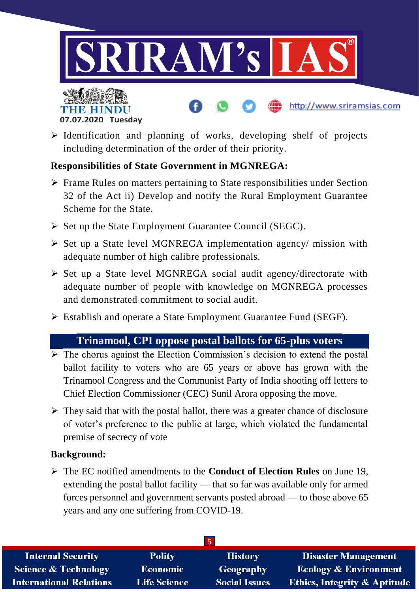



 $\triangleright$  Identification and planning of works, developing shelf of projects including determination of the order of their priority.

http://www.sriramsias.com

#### **Responsibilities of State Government in MGNREGA:**

- $\triangleright$  Frame Rules on matters pertaining to State responsibilities under Section 32 of the Act ii) Develop and notify the Rural Employment Guarantee Scheme for the State.
- $\triangleright$  Set up the State Employment Guarantee Council (SEGC).
- $\triangleright$  Set up a State level MGNREGA implementation agency/ mission with adequate number of high calibre professionals.
- $\triangleright$  Set up a State level MGNREGA social audit agency/directorate with adequate number of people with knowledge on MGNREGA processes and demonstrated commitment to social audit.
- Establish and operate a State Employment Guarantee Fund (SEGF).

#### **Trinamool, CPI oppose postal ballots for 65-plus voters**

- $\triangleright$  The chorus against the Election Commission's decision to extend the postal ballot facility to voters who are 65 years or above has grown with the Trinamool Congress and the Communist Party of India shooting off letters to Chief Election Commissioner (CEC) Sunil Arora opposing the move.
- $\triangleright$  They said that with the postal ballot, there was a greater chance of disclosure of voter's preference to the public at large, which violated the fundamental premise of secrecy of vote

#### **Background:**

 The EC notified amendments to the **Conduct of Election Rules** on June 19, extending the postal ballot facility — that so far was available only for armed forces personnel and government servants posted abroad — to those above 65 years and any one suffering from COVID-19.

| <b>Internal Security</b>        | <b>Polity</b>       | <b>History</b>       | Disaster Management                     |
|---------------------------------|---------------------|----------------------|-----------------------------------------|
| <b>Science &amp; Technology</b> | <b>Economic</b>     | Geography            | <b>Ecology &amp; Environment</b>        |
| <b>International Relations</b>  | <b>Life Science</b> | <b>Social Issues</b> | <b>Ethics, Integrity &amp; Aptitude</b> |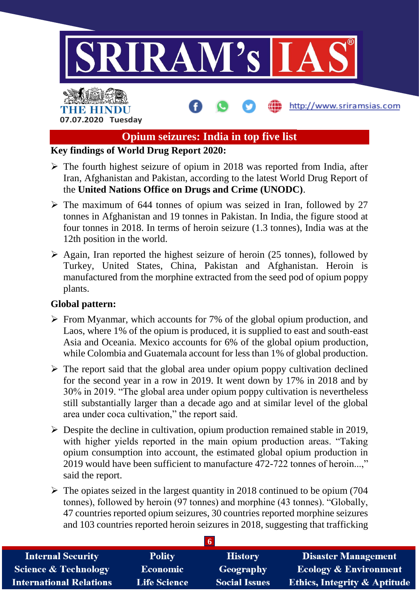

#### **Opium seizures: India in top five list**

#### **Key findings of World Drug Report 2020:**

- $\triangleright$  The fourth highest seizure of opium in 2018 was reported from India, after Iran, Afghanistan and Pakistan, according to the latest World Drug Report of the **United Nations Office on Drugs and Crime (UNODC)**.
- $\triangleright$  The maximum of 644 tonnes of opium was seized in Iran, followed by 27 tonnes in Afghanistan and 19 tonnes in Pakistan. In India, the figure stood at four tonnes in 2018. In terms of heroin seizure (1.3 tonnes), India was at the 12th position in the world.
- $\triangleright$  Again, Iran reported the highest seizure of heroin (25 tonnes), followed by Turkey, United States, China, Pakistan and Afghanistan. Heroin is manufactured from the morphine extracted from the seed pod of opium poppy plants.

#### **Global pattern:**

- $\triangleright$  From Myanmar, which accounts for 7% of the global opium production, and Laos, where 1% of the opium is produced, it is supplied to east and south-east Asia and Oceania. Mexico accounts for 6% of the global opium production, while Colombia and Guatemala account for less than 1% of global production.
- $\triangleright$  The report said that the global area under opium poppy cultivation declined for the second year in a row in 2019. It went down by 17% in 2018 and by 30% in 2019. "The global area under opium poppy cultivation is nevertheless still substantially larger than a decade ago and at similar level of the global area under coca cultivation," the report said.
- $\triangleright$  Despite the decline in cultivation, opium production remained stable in 2019, with higher yields reported in the main opium production areas. "Taking opium consumption into account, the estimated global opium production in 2019 would have been sufficient to manufacture 472-722 tonnes of heroin...," said the report.
- $\triangleright$  The opiates seized in the largest quantity in 2018 continued to be opium (704) tonnes), followed by heroin (97 tonnes) and morphine (43 tonnes). "Globally, 47 countries reported opium seizures, 30 countries reported morphine seizures and 103 countries reported heroin seizures in 2018, suggesting that trafficking

| <b>Internal Security</b>        | <b>Polity</b>       | <b>History</b>       | <b>Disaster Management</b>              |
|---------------------------------|---------------------|----------------------|-----------------------------------------|
| <b>Science &amp; Technology</b> | Economic            | Geography            | <b>Ecology &amp; Environment</b>        |
| <b>International Relations</b>  | <b>Life Science</b> | <b>Social Issues</b> | <b>Ethics, Integrity &amp; Aptitude</b> |